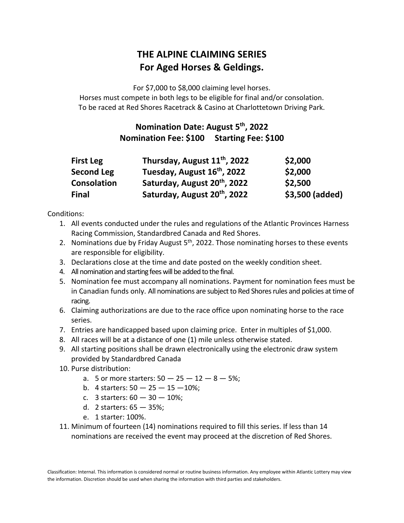## **THE ALPINE CLAIMING SERIES For Aged Horses & Geldings.**

For \$7,000 to \$8,000 claiming level horses. Horses must compete in both legs to be eligible for final and/or consolation. To be raced at Red Shores Racetrack & Casino at Charlottetown Driving Park.

## **Nomination Date: August 5 th, 2022 Nomination Fee: \$100 Starting Fee: \$100**

| <b>First Leg</b>   | Thursday, August 11 <sup>th</sup> , 2022 | \$2,000         |
|--------------------|------------------------------------------|-----------------|
| <b>Second Leg</b>  | Tuesday, August 16 <sup>th</sup> , 2022  | \$2,000         |
| <b>Consolation</b> | Saturday, August 20 <sup>th</sup> , 2022 | \$2,500         |
| <b>Final</b>       | Saturday, August 20 <sup>th</sup> , 2022 | \$3,500 (added) |

Conditions:

- 1. All events conducted under the rules and regulations of the Atlantic Provinces Harness Racing Commission, Standardbred Canada and Red Shores.
- 2. Nominations due by Friday August  $5<sup>th</sup>$ , 2022. Those nominating horses to these events are responsible for eligibility.
- 3. Declarations close at the time and date posted on the weekly condition sheet.
- 4. All nomination and starting fees will be added to the final.
- 5. Nomination fee must accompany all nominations. Payment for nomination fees must be in Canadian funds only. All nominations are subject to Red Shores rules and policies at time of racing.
- 6. Claiming authorizations are due to the race office upon nominating horse to the race series.
- 7. Entries are handicapped based upon claiming price. Enter in multiples of \$1,000.
- 8. All races will be at a distance of one (1) mile unless otherwise stated.
- 9. All starting positions shall be drawn electronically using the electronic draw system provided by Standardbred Canada
- 10. Purse distribution:
	- a. 5 or more starters:  $50 25 12 8 5$ %;
	- b. 4 starters:  $50 25 15 10\%$ ;
	- c. 3 starters:  $60 30 10\%$ ;
	- d. 2 starters: 65 35%;
	- e. 1 starter: 100%.
- 11. Minimum of fourteen (14) nominations required to fill this series. If less than 14 nominations are received the event may proceed at the discretion of Red Shores.